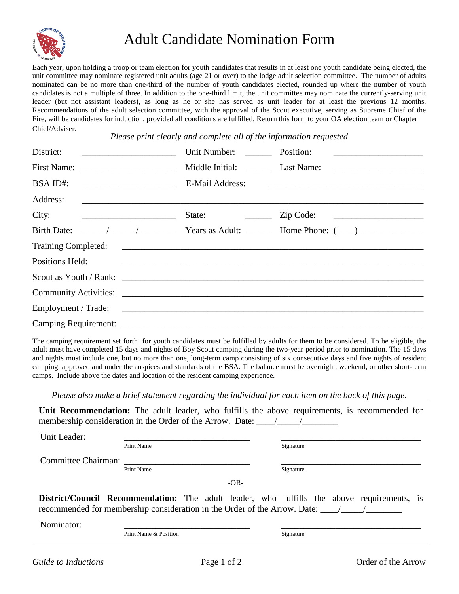

## Adult Candidate Nomination Form

Each year, upon holding a troop or team election for youth candidates that results in at least one youth candidate being elected, the unit committee may nominate registered unit adults (age 21 or over) to the lodge adult selection committee. The number of adults nominated can be no more than one-third of the number of youth candidates elected, rounded up where the number of youth candidates is not a multiple of three. In addition to the one-third limit, the unit committee may nominate the currently-serving unit leader (but not assistant leaders), as long as he or she has served as unit leader for at least the previous 12 months. Recommendations of the adult selection committee, with the approval of the Scout executive, serving as Supreme Chief of the Fire, will be candidates for induction, provided all conditions are fulfilled. Return this form to your OA election team or Chapter Chief/Adviser.

*Please print clearly and complete all of the information requested*

| District:                                           | Unit Number:                             | Position:             |
|-----------------------------------------------------|------------------------------------------|-----------------------|
|                                                     |                                          |                       |
| BSA ID#:                                            | E-Mail Address:                          |                       |
| Address:                                            |                                          |                       |
| City:<br><u> 1986 - Johann Barn, mars ann an t-</u> | State:<br><u> 1990 - Jan Barbara III</u> | $\mathsf{Zip Code:}$  |
| <b>Birth Date:</b>                                  |                                          |                       |
| <b>Training Completed:</b>                          |                                          |                       |
| Positions Held:                                     |                                          |                       |
|                                                     |                                          |                       |
|                                                     |                                          | Community Activities: |
|                                                     |                                          | Employment / Trade:   |
|                                                     |                                          |                       |

The camping requirement set forth for youth candidates must be fulfilled by adults for them to be considered. To be eligible, the adult must have completed 15 days and nights of Boy Scout camping during the two-year period prior to nomination. The 15 days and nights must include one, but no more than one, long-term camp consisting of six consecutive days and five nights of resident camping, approved and under the auspices and standards of the BSA. The balance must be overnight, weekend, or other short-term camps. Include above the dates and location of the resident camping experience.

*Please also make a brief statement regarding the individual for each item on the back of this page.* 

|                                                                         |            | Unit Recommendation: The adult leader, who fulfills the above requirements, is recommended for |  |  |
|-------------------------------------------------------------------------|------------|------------------------------------------------------------------------------------------------|--|--|
| membership consideration in the Order of the Arrow. Date: $\frac{1}{2}$ |            |                                                                                                |  |  |
| Unit Leader:                                                            |            |                                                                                                |  |  |
|                                                                         | Print Name | Signature                                                                                      |  |  |
| Committee Chairman:                                                     |            |                                                                                                |  |  |

Print Name Signature

**District/Council Recommendation:** The adult leader, who fulfills the above requirements, is recommended for membership consideration in the Order of the Arrow. Date: \_\_\_\_\_/\_\_\_\_\_\_\_\_

-OR-

Nominator: \_\_\_\_\_\_\_\_\_\_\_\_\_\_\_\_\_\_\_\_\_\_\_\_\_\_\_\_ \_\_\_\_\_\_\_\_\_\_\_\_\_\_\_\_\_\_\_\_\_\_\_\_\_\_\_\_\_\_\_

Print Name & Position Signature